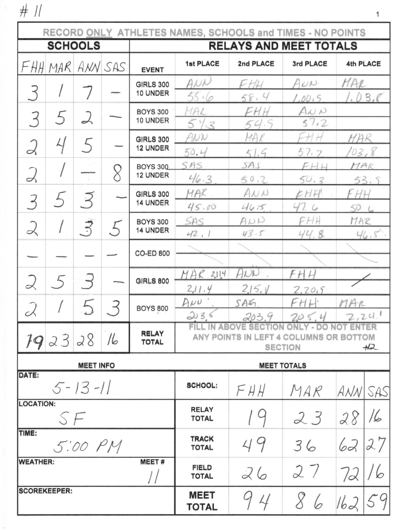$# ||$ 

| RECORD ONLY ATHLETES NAMES, SCHOOLS and TIMES - NO POINTS |                                              |                  |                |                              |                                                                                                                                         |               |                            |              |      |
|-----------------------------------------------------------|----------------------------------------------|------------------|----------------|------------------------------|-----------------------------------------------------------------------------------------------------------------------------------------|---------------|----------------------------|--------------|------|
| <b>SCHOOLS</b>                                            |                                              |                  |                |                              | <b>RELAYS AND MEET TOTALS</b>                                                                                                           |               |                            |              |      |
|                                                           | FHHMAR                                       |                  | ANN SAS        | <b>EVENT</b>                 | <b>1st PLACE</b>                                                                                                                        | 2nd PLACE     | 3rd PLACE                  | 4th PLACE    |      |
| $\prec$                                                   |                                              |                  |                | <b>GIRLS 300</b><br>10 UNDER | ANN                                                                                                                                     | FHH           | AUN                        | MAR          |      |
|                                                           |                                              |                  |                | <b>BOYS 300</b>              | 55.6<br>MAL                                                                                                                             | 58.4<br>FHH   | 1,00,5<br>$A\omega$ $\sim$ |              | 03R  |
| 3                                                         | 5                                            | ス                |                | 10 UNDER                     | 543                                                                                                                                     | 54.5          | 57.2                       |              |      |
| $\alpha$                                                  | 4                                            | 5                |                | <b>GIRLS 300</b><br>12 UNDER | ANN<br>50.4                                                                                                                             | MAR<br>51.9   | 57.7                       | MAR<br>103.8 |      |
| Z                                                         |                                              |                  | 8              | <b>BOYS 300</b><br>12 UNDER  | SAS                                                                                                                                     | SAS           | FHH                        | MAR          |      |
|                                                           |                                              |                  |                |                              | 46.3                                                                                                                                    | 50,2          | 50,3                       | 53.          |      |
| 3                                                         | 5                                            | $\overline{z}$   |                | <b>GIRLS 300</b><br>14 UNDER | MAR                                                                                                                                     | A N N         | EHH                        | FНH          |      |
|                                                           |                                              |                  |                | <b>BOYS 300</b>              | 45.00<br>SAS                                                                                                                            | 46.5<br>ANN   | 47.6<br>FH                 | 50<br>MAR    |      |
| $\prec$                                                   |                                              | $\vec{z}$        | $\overline{5}$ | 14 UNDER                     | 42,1                                                                                                                                    | 43.5          | 44.8.                      |              | 46.5 |
|                                                           |                                              |                  |                | <b>CO-ED 800</b>             |                                                                                                                                         |               |                            |              |      |
|                                                           |                                              |                  |                |                              | MAR<br>2114                                                                                                                             | ANN           | FH<br>H                    |              |      |
| 2                                                         | $5\overline{)}$                              | $\rightarrow$    |                | <b>GIRLS 800</b>             | 2,11.4                                                                                                                                  | 2,15.1        | 2,20.9                     |              |      |
| ∽                                                         |                                              |                  |                | <b>BOYS 800</b>              | $A\mu\nu$<br>203.5                                                                                                                      | SAG           | FHH:                       | MAR          |      |
|                                                           | <b>RELAY</b><br>192328<br>16<br><b>TOTAL</b> |                  |                |                              | 2,24.1<br>205.4<br>203.9<br>FILL IN ABOVE SECTION ONLY - DO NOT ENTER<br>ANY POINTS IN LEFT 4 COLUMNS OR BOTTOM<br><b>SECTION</b><br>H2 |               |                            |              |      |
|                                                           |                                              | <b>MEET INFO</b> |                |                              | <b>MEET TOTALS</b>                                                                                                                      |               |                            |              |      |
| DATE:                                                     |                                              | $5 - 13 - 11$    |                |                              | <b>SCHOOL:</b>                                                                                                                          | FHH           | MAR                        | ANN SAS      |      |
| <b>LOCATION:</b><br>SF                                    |                                              |                  |                |                              | <b>RELAY</b><br><b>TOTAL</b>                                                                                                            |               | 23                         | 28           | 16   |
| TIME:<br>5:00 PM                                          |                                              |                  |                |                              | <b>TRACK</b><br><b>TOTAL</b>                                                                                                            | 49            | 36                         | 62           | 27   |
| <b>WEATHER:</b><br><b>MEET#</b>                           |                                              |                  |                |                              | <b>FIELD</b><br><b>TOTAL</b>                                                                                                            | 26            | 27                         | 72           |      |
| <b>SCOREKEEPER:</b>                                       |                                              |                  |                |                              | <b>MEET</b><br><b>TOTAL</b>                                                                                                             | $\mathcal{L}$ | 8                          | 162          |      |

 $\overline{\mathbf{1}}$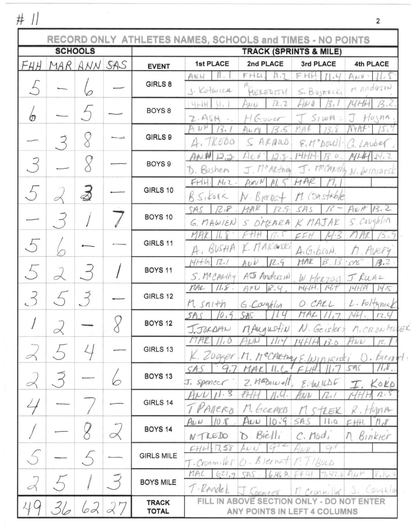$\#$  //

|           |           |                       |   |                                   | RECORD ONLY ATHLETES NAMES, SCHOOLS and TIMES - NO POINTS                                                        |  |  |  |
|-----------|-----------|-----------------------|---|-----------------------------------|------------------------------------------------------------------------------------------------------------------|--|--|--|
|           |           | <b>SCHOOLS</b>        |   | <b>TRACK (SPRINTS &amp; MILE)</b> |                                                                                                                  |  |  |  |
| F H H     |           | MAR ANN SAS           |   | <b>EVENT</b>                      | <b>1st PLACE</b><br>2nd PLACE<br>3rd PLACE<br>4th PLACE                                                          |  |  |  |
|           |           |                       |   | GIRLS 8                           | FHH<br>ANN<br>FHU<br>/1,4<br>AND.<br>M Anderson<br>J. Kotwica<br>$S$ . Bojnecki<br>MEREDITH                      |  |  |  |
| ℗         |           |                       |   | BOYS <sub>8</sub>                 | 12.7<br>414<br>WU<br>$H$ <sub><math>0</math></sub> $nA$<br>$S_1wR$ :<br>H Gouver<br>Z.ASH                        |  |  |  |
|           |           |                       |   | GIRLS 9                           | $S$ ARMOLD<br>4.7R600<br>$E.H^nD011$<br>1. LAUDER                                                                |  |  |  |
| 3         |           |                       |   | BOYS <sub>9</sub>                 | $\cal O$<br>ロコ<br>13<br>s<br>$14141$ $4412$<br>J. Meanth N. Winiarsk<br>J. McARthia<br>D. Bushen                 |  |  |  |
|           |           | $\breve{\mathbb{A}}$  |   | GIRLS 10                          | $M_1$ 2.<br>$F+$<br>ANN N<br>M. Constable<br>R5, 6012<br>$N - B$ jerba                                           |  |  |  |
|           |           |                       |   | BOYS 10                           | 13.2<br>$A \nu r$<br>2,8<br>MAR<br>12.5.<br>SAS<br>SAS<br>S.Covsh/11<br>S OMEARA K MAJAK<br>G, MAWIEN            |  |  |  |
| $\lambda$ |           |                       |   | GIRLS 11                          | AKOWSKI<br>BUSHA<br>Avery<br>A.GIDSON                                                                            |  |  |  |
| $\sim$    |           |                       |   | <b>BOYS 11</b>                    | 12.1<br>MAR<br>13.2<br>12.9<br>15<br>AUU<br>13<br>545<br>A T Anderson<br>S. McCARthy<br>J. RUAL<br>W. Herzog     |  |  |  |
| 3         |           | $\tilde{\mathcal{F}}$ |   | GIRLS 12                          | 147<br>MAL<br>11.8<br>14HH.<br>APU<br>B.4<br>14 S<br>L. Foltyman<br>$M \simeq n_1 + h$<br>O. CALL<br>G. Coughlin |  |  |  |
|           | $\propto$ |                       | U | BOYS <sub>12</sub>                | 10.9<br>MAL.<br>SAS.<br>SA.<br>12.9<br>J.JORDAN<br>MAngustin N. Geisler<br>M. CRONHUER                           |  |  |  |
|           |           |                       |   | GIRLS 13                          | 13.0<br>HND<br>14.H.H<br>Zugger M. McCARthans<br>pient.                                                          |  |  |  |
|           |           |                       |   | BOYS <sub>13</sub>                | SA!<br>11,8<br>MAL<br>$Z.$ Masowell<br>J. Spencer<br>2.601000<br>KOKO                                            |  |  |  |
|           |           |                       |   | GIRLS 14                          | 3<br>$n_{\cdot}$<br>$2\iota$ /<br>Allers<br>M. GERAKIS<br>WM<br>$\sqrt{2}$                                       |  |  |  |
|           |           |                       |   | BOYS <sub>14</sub>                | $A\omega$<br>10.9<br>11.0<br>$A\nu$<br>SA.<br>D. Bielli<br>$C.$ Mod <sub>i</sub><br>Binkier<br>NTREDO<br>Ŋ.      |  |  |  |
|           |           |                       |   | <b>GIRLS MILE</b>                 | $-7.58$<br>916<br>$_{\mu\mu}$<br>FHH<br>$D.$ Blernat<br>17/80LD<br>Cronmiler                                     |  |  |  |
|           |           |                       |   | <b>BOYS MILE</b>                  | MAL<br>621.9<br>6.46.0.<br>7,47.0<br>$A_{1}P$<br><b>CAS</b><br>T. RAndel<br>Coughlin                             |  |  |  |
|           |           | 6d                    |   | <b>TRACK</b><br><b>TOTAL</b>      | $A$ ronn<br>FILL<br><b>ABOVE</b><br><b>SECTION</b><br><b>ENTER</b><br>ANY POINTS IN LEFT 4 COLUMNS               |  |  |  |